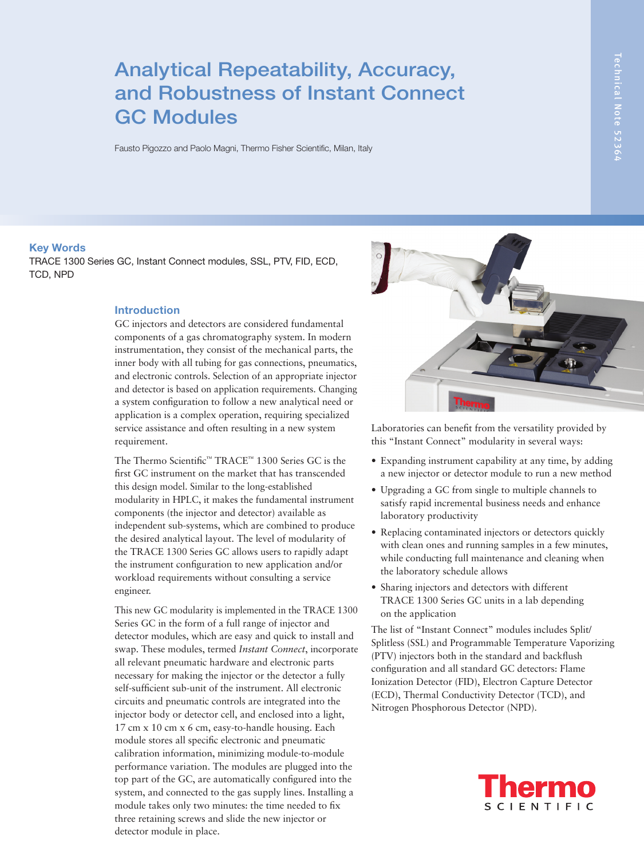# Analytical Repeatability, Accuracy, and Robustness of Instant Connect GC Modules

Fausto Pigozzo and Paolo Magni, Thermo Fisher Scientific, Milan, Italy

#### Key Words

TRACE 1300 Series GC, Instant Connect modules, SSL, PTV, FID, ECD, TCD, NPD

## Introduction

GC injectors and detectors are considered fundamental components of a gas chromatography system. In modern instrumentation, they consist of the mechanical parts, the inner body with all tubing for gas connections, pneumatics, and electronic controls. Selection of an appropriate injector and detector is based on application requirements. Changing a system configuration to follow a new analytical need or application is a complex operation, requiring specialized service assistance and often resulting in a new system requirement.

The Thermo Scientific™ TRACE™ 1300 Series GC is the first GC instrument on the market that has transcended this design model. Similar to the long-established modularity in HPLC, it makes the fundamental instrument components (the injector and detector) available as independent sub-systems, which are combined to produce the desired analytical layout. The level of modularity of the TRACE 1300 Series GC allows users to rapidly adapt the instrument configuration to new application and/or workload requirements without consulting a service engineer.

This new GC modularity is implemented in the TRACE 1300 Series GC in the form of a full range of injector and detector modules, which are easy and quick to install and swap. These modules, termed *Instant Connect*, incorporate all relevant pneumatic hardware and electronic parts necessary for making the injector or the detector a fully self-sufficient sub-unit of the instrument. All electronic circuits and pneumatic controls are integrated into the injector body or detector cell, and enclosed into a light, 17 cm x 10 cm x 6 cm, easy-to-handle housing. Each module stores all specific electronic and pneumatic calibration information, minimizing module-to-module performance variation. The modules are plugged into the top part of the GC, are automatically configured into the system, and connected to the gas supply lines. Installing a module takes only two minutes: the time needed to fix three retaining screws and slide the new injector or detector module in place.



Laboratories can benefit from the versatility provided by this "Instant Connect" modularity in several ways:

- Expanding instrument capability at any time, by adding a new injector or detector module to run a new method
- Upgrading a GC from single to multiple channels to satisfy rapid incremental business needs and enhance laboratory productivity
- Replacing contaminated injectors or detectors quickly with clean ones and running samples in a few minutes, while conducting full maintenance and cleaning when the laboratory schedule allows
- Sharing injectors and detectors with different TRACE 1300 Series GC units in a lab depending on the application

The list of "Instant Connect" modules includes Split/ Splitless (SSL) and Programmable Temperature Vaporizing (PTV) injectors both in the standard and backflush configuration and all standard GC detectors: Flame Ionization Detector (FID), Electron Capture Detector (ECD), Thermal Conductivity Detector (TCD), and Nitrogen Phosphorous Detector (NPD).

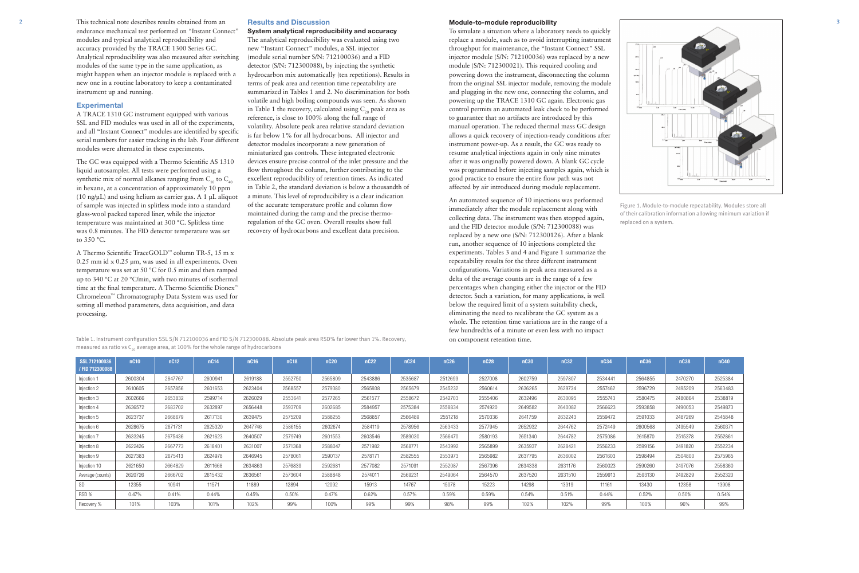2 This technical note describes results obtained from an 3 endurance mechanical test performed on "Instant Connect" modules and typical analytical reproducibility and accuracy provided by the TRACE 1300 Series GC. Analytical reproducibility was also measured after switching modules of the same type in the same application, as might happen when an injector module is replaced with a new one in a routine laboratory to keep a contaminated instrument up and running.

## **Experimental**

A TRACE 1310 GC instrument equipped with various SSL and FID modules was used in all of the experiments, and all "Instant Connect" modules are identified by specific serial numbers for easier tracking in the lab. Four different modules were alternated in these experiments.

A Thermo Scientific TraceGOLD™ column TR-5, 15 m x 0.25 mm id x 0.25 μm, was used in all experiments. Oven temperature was set at 50 °C for 0.5 min and then ramped up to 340 °C at 20 °C/min, with two minutes of isothermal time at the final temperature. A Thermo Scientific Dionex™ Chromeleon™ Chromatography Data System was used for setting all method parameters, data acquisition, and data processing.

The GC was equipped with a Thermo Scientific AS 1310 liquid autosampler. All tests were performed using a synthetic mix of normal alkanes ranging from  $C_{10}$  to  $C_{40}$ in hexane, at a concentration of approximately 10 ppm  $(10 \text{ ng/µL})$  and using helium as carrier gas. A 1 µL aliquot of sample was injected in splitless mode into a standard glass-wool packed tapered liner, while the injector temperature was maintained at 300 °C. Splitless time was 0.8 minutes. The FID detector temperature was set to 350 °C.

Table 1. Instrument configuration SSL S/N 712100036 and FID S/N 712300088. Absolute peak area RSD% far lower than 1%. Recovery, measured as ratio vs  $C_{20}$  average area, at 100% for the whole range of hydrocarbons

### Results and Discussion

## System analytical reproducibility and accuracy

The analytical reproducibility was evaluated using two new "Instant Connect" modules, a SSL injector (module serial number S/N: 712100036) and a FID detector (S/N: 712300088), by injecting the synthetic hydrocarbon mix automatically (ten repetitions). Results in terms of peak area and retention time repeatability are summarized in Tables 1 and 2. No discrimination for both volatile and high boiling compounds was seen. As shown in Table 1 the recovery, calculated using  $C_{20}$  peak area as reference, is close to 100% along the full range of volatility. Absolute peak area relative standard deviation is far below 1% for all hydrocarbons. All injector and detector modules incorporate a new generation of miniaturized gas controls. These integrated electronic devices ensure precise control of the inlet pressure and the flow throughout the column, further contributing to the excellent reproducibility of retention times. As indicated in Table 2, the standard deviation is below a thousandth of a minute. This level of reproducibility is a clear indication of the accurate temperature profile and column flow maintained during the ramp and the precise thermoregulation of the GC oven. Overall results show full recovery of hydrocarbons and excellent data precision.

| SSL 712100036    | nC10    | nC12    | nC14    | nC16    | nC18    | nC <sub>20</sub> | nC <sub>22</sub> | nC <sub>24</sub> | nC <sub>26</sub> | <b>nC28</b> | <b>nC30</b> | nC32    | nC34    | nC36    | nC38    | nC40    |
|------------------|---------|---------|---------|---------|---------|------------------|------------------|------------------|------------------|-------------|-------------|---------|---------|---------|---------|---------|
| / FID 712300088  |         |         |         |         |         |                  |                  |                  |                  |             |             |         |         |         |         |         |
| Injection 1      | 2600304 | 2647767 | 2600941 | 2619188 | 2552750 | 2565809          | 2543886          | 2535687          | 2512699          | 2527008     | 2602759     | 2597807 | 2534441 | 2564855 | 2470270 | 2525384 |
| Injection 2      | 2610605 | 2657856 | 2601653 | 2623404 | 2568557 | 2579380          | 2565938          | 2565679          | 2545232          | 2560614     | 2636265     | 2629734 | 2557462 | 2596729 | 2495209 | 2563483 |
| Injection 3      | 2602666 | 2653832 | 2599714 | 2626029 | 2553641 | 2577265          | 2561577          | 2558672          | 2542703          | 2555406     | 2632496     | 2630095 | 2555743 | 2580475 | 2480864 | 2538819 |
| Injection 4      | 2636572 | 2683702 | 2632897 | 2656448 | 2593709 | 2602685          | 2584957          | 2575384          | 2558834          | 2574920     | 2649582     | 2640082 | 2566623 | 2593858 | 2490053 | 2549873 |
| Injection 5      | 2623737 | 2668679 | 2617130 | 2639475 | 2575209 | 2588255          | 2568857          | 2566489          | 2551218          | 2570336     | 2641759     | 2632243 | 2559472 | 2591033 | 2487269 | 2545848 |
| Injection 6      | 2628675 | 2671731 | 2625320 | 2647746 | 2586155 | 2602674          | 2584119          | 2578956          | 2563433          | 2577945     | 2652932     | 2644762 | 2572449 | 2600568 | 2495549 | 2560371 |
| Injection 7      | 2633245 | 2675436 | 2621623 | 2640507 | 2579749 | 2601553          | 2603546          | 2589030          | 2566470          | 2580193     | 2651340     | 2644782 | 2575086 | 2615870 | 2515378 | 255286  |
| Injection 8      | 2622426 | 2667773 | 2618401 | 2631007 | 2571368 | 2588047          | 2571982          | 2568771          | 2543992          | 2565899     | 2635937     | 2628421 | 2556233 | 2599156 | 2491820 | 2552234 |
| Injection 9      | 2627383 | 2675413 | 2624978 | 2646945 | 2578061 | 2590137          | 2578171          | 2582555          | 2553973          | 2565982     | 2637795     | 2636002 | 2561603 | 2598494 | 2504800 | 2575965 |
| Injection 10     | 2621650 | 2664829 | 2611668 | 2634863 | 2576839 | 2592681          | 2577082          | 2571091          | 2552087          | 2567396     | 2634338     | 2631176 | 2560023 | 2590260 | 2497076 | 2558360 |
| Average (counts) | 2620726 | 2666702 | 2615432 | 2636561 | 2573604 | 2588848          | 2574011          | 2569231          | 2549064          | 2564570     | 2637520     | 2631510 | 2559913 | 2593130 | 2492829 | 2552320 |
| SD               | 12355   | 10941   | 11571   | 11889   | 12894   | 12092            | 15913            | 14767            | 15078            | 15223       | 14298       | 13319   | 11161   | 13430   | 12358   | 13908   |
| RSD %            | 0.47%   | 0.41%   | 0.44%   | 0.45%   | 0.50%   | 0.47%            | 0.62%            | 0.57%            | 0.59%            | 0.59%       | 0.54%       | 0.51%   | 0.44%   | 0.52%   | 0.50%   | 0.54%   |
| Recovery %       | 101%    | 103%    | 101%    | 102%    | 99%     | 100%             | 99%              | 99%              | 98%              | 99%         | 102%        | 102%    | 99%     | 100%    | 96%     | 99%     |





Figure 1. Module-to-module repeatability. Modules store all of their calibration information allowing minimum variation if replaced on a system.

|     | nC38    | nC40    |
|-----|---------|---------|
| 55  | 2470270 | 2525384 |
| 29  | 2495209 | 2563483 |
| 5   | 2480864 | 2538819 |
| i8  | 2490053 | 2549873 |
| ıЗ  | 2487269 | 2545848 |
| 38  | 2495549 | 2560371 |
| O.  | 2515378 | 2552861 |
| 6   | 2491820 | 2552234 |
| 14  | 2504800 | 2575965 |
| δŌ, | 2497076 | 2558360 |
| Ю   | 2492829 | 2552320 |
|     | 12358   | 13908   |
|     | 0.50%   | 0.54%   |
|     | 96%     | 99%     |

#### Module-to-module reproducibility

To simulate a situation where a laboratory needs to quickly replace a module, such as to avoid interrupting instrument throughput for maintenance, the "Instant Connect" SSL injector module (S/N: 712100036) was replaced by a new module (S/N: 712300021). This required cooling and powering down the instrument, disconnecting the column from the original SSL injector module, removing the module and plugging in the new one, connecting the column, and powering up the TRACE 1310 GC again. Electronic gas control permits an automated leak check to be performed to guarantee that no artifacts are introduced by this manual operation. The reduced thermal mass GC design allows a quick recovery of injection-ready conditions after instrument power-up. As a result, the GC was ready to resume analytical injections again in only nine minutes after it was originally powered down. A blank GC cycle was programmed before injecting samples again, which is good practice to ensure the entire flow path was not affected by air introduced during module replacement.

An automated sequence of 10 injections was performed immediately after the module replacement along with collecting data. The instrument was then stopped again, and the FID detector module (S/N: 712300088) was replaced by a new one (S/N: 712300126). After a blank run, another sequence of 10 injections completed the experiments. Tables 3 and 4 and Figure 1 summarize the repeatability results for the three different instrument configurations. Variations in peak area measured as a delta of the average counts are in the range of a few percentages when changing either the injector or the FID detector. Such a variation, for many applications, is well below the required limit of a system suitability check, eliminating the need to recalibrate the GC system as a whole. The retention time variations are in the range of a few hundredths of a minute or even less with no impact on component retention time.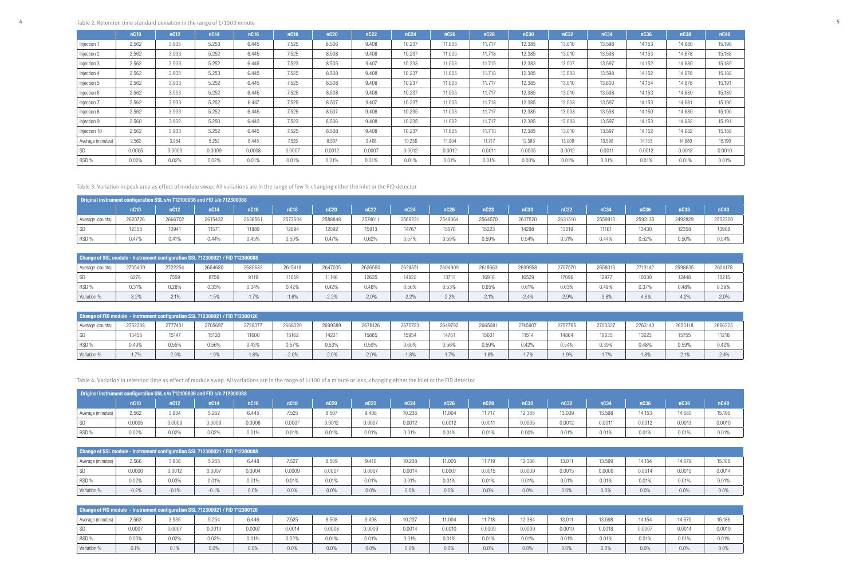| Original instrument configuration SSL s/n 712100036 and FID s/n 712300088 |         |         |         |        |         |         |                  |                  |                  |         |         |         |         |         |             |         |
|---------------------------------------------------------------------------|---------|---------|---------|--------|---------|---------|------------------|------------------|------------------|---------|---------|---------|---------|---------|-------------|---------|
|                                                                           | nC10    | nC12    | nC14    | nC16   | nC18    | 1C20    | nC <sub>22</sub> | nC <sub>24</sub> | nC <sub>26</sub> | nC28    | nC30    | nC32    | nC34    | nC36    | <b>nC38</b> | nC40    |
| Average (counts)                                                          | 2620726 | 2666702 | 2615432 | 263656 | 2573604 | 2588848 | 2574011          | 2569231          | 2549064          | 2564570 | 2637520 | 2631510 | 2559913 | 2593130 | 2492829     | 2552320 |
|                                                                           | 12355   | 10941   | 11571   | 11889  | 12894   | 12092   | 15913            | 14767            | 15078            | 15223   | 14298   | 13319   | 11161   | 13430   | 12358       | 13908   |
| RSD %                                                                     | 0.47%   | 0.41%   | 0.44%   | 0.45%  | 0.50%   | 0.47%   | 0.62%            | 0.57%            | 0.59%            | 0.59%   | 0.54%   | 0.51%   | 0.44%   | 0.52%   | 0.50%       | 0.54%   |

| Change of SSL module - Instrument configuration SSL 712300021 / FID 712300088 |         |         |         |         |         |         |         |         |         |         |         |         |         |         |         |         |
|-------------------------------------------------------------------------------|---------|---------|---------|---------|---------|---------|---------|---------|---------|---------|---------|---------|---------|---------|---------|---------|
| Average (counts)                                                              | 2705439 | 2722254 | 2654680 | 2680682 | 2615418 | 2647035 | 2626550 | 2624551 | 2604909 | 2618663 | 2699958 | 2707570 | 2658013 | 2713142 | 2598635 | 2604178 |
| SD                                                                            | 8276    | 7559    | 8759    | 9119    | 1059    | 11146   | 12635   | 14822   | 13711   | 16916   | 16529   | 17096   | 12977   | 10030   | 12448   | 10215   |
| RSD %                                                                         | 0.31%   | 0.28%   | 0.33%   | 0.34%   | 0.42%   | 0.42%   | 0.48%   | 0.56%   | 0.53%   | 0.65%   | 0.61%   | 0.63%   | 0.49%   | 0.37%   | 0.48%   | 0.39%   |
| Variation %                                                                   | $-3.2%$ | $-2.1%$ | $-1.5%$ | $-1.7%$ | $-1.6%$ | $-2.2%$ | $-2.0%$ | $-2.2%$ | $-2.2%$ | $-2.1%$ | $-2.4%$ | $-2.9%$ | $-3.8%$ | $-4.6%$ | $-4.2%$ | $-2.0%$ |

| Change of FID module - Instrument configuration SSL 712300021 / FID 712300126 |                                                                                                                                                                              |         |         |         |         |         |         |         |       |         |         |         |         |         |         |         |
|-------------------------------------------------------------------------------|------------------------------------------------------------------------------------------------------------------------------------------------------------------------------|---------|---------|---------|---------|---------|---------|---------|-------|---------|---------|---------|---------|---------|---------|---------|
| Average (counts)                                                              | 2666225<br>2668020<br>2665081<br>2705697<br>2699389<br>2678126<br>2670723<br>2703327<br>2653118<br>2745907<br>2757795<br>2763143<br>2728377<br>2649792<br>2752208<br>2777431 |         |         |         |         |         |         |         |       |         |         |         |         |         |         |         |
| <b>SD</b>                                                                     | 13455                                                                                                                                                                        | 15147   | 15120   | 11600   | 15162   | 14201   | 15885   | 15954   | 14781 | 15601   | 11514   | 14864   | 10635   | 13223   | 15755   | 11218   |
| RSD %                                                                         | 0.49%                                                                                                                                                                        | 0.55%   | 0.56%   | 0.43%   | 0.57%   | 0.53%   | 0.59%   | 0.60%   | 0.56% | 0.59%   | 0.42%   | 0.54%   | 0.39%   | 0.48%   | 0.59%   | 0.42%   |
| Variation %                                                                   | $-1.7%$                                                                                                                                                                      | $-2.0%$ | $-1.9%$ | $-1.8%$ | $-2.0%$ | $-2.0%$ | $-2.0%$ | $-1.8%$ | 1.7%  | $-1.8%$ | $-1.7%$ | $-1.9%$ | $-1.7%$ | $-1.8%$ | $-2.1%$ | $-2.4%$ |

Table 3. Variation in peak area as effect of module swap. All variations are in the range of few % changing either the inlet or the FID detector

| Original instrument configuration SSL s/n 712100036 and FID s/n 712300088 |         |        |        |                  |        |        |        |                  |        |             |        |        |        |        |             |        |
|---------------------------------------------------------------------------|---------|--------|--------|------------------|--------|--------|--------|------------------|--------|-------------|--------|--------|--------|--------|-------------|--------|
|                                                                           | $n$ C10 | nC12   | nC14   | nC <sub>16</sub> | nC18   | nC20   | nC22   | nC <sub>24</sub> | nC26   | <b>nC28</b> | nC30   | nC32   | nC34   | nC36   | <b>nC38</b> | nC40   |
| Average (minutes)                                                         | 2.562   | 3.934  | 5.252  | 6.445            | 7.525  | 8.507  | 9.408  | 10.236           | 11.004 | 11.717      | 12.385 | 13.009 | 13.598 | 14.153 | 14.680      | 15.190 |
| <b>SD</b>                                                                 | 0.0005  | 0.0009 | 0.0009 | 0.0008           | J.0007 | 0.0012 | 0.0007 | 0.0012           | 0.0012 | 0.0011      | 0.0005 | 0.0012 | 0.0011 | 0.0012 | 0.0013      | 0.0010 |
| RSD %                                                                     | 0.02%   | 0.02%  | 0.02%  | 0.01%            | 0.01%  | 0.01%  | 0.01%  | 0.01%            | 0.01%  | 0.01%       | 0.00%  | 0.01%  | 0.01%  | 0.01%  | 0.01%       | 0.01%  |

| Change of SSL module - Instrument configuration SSL 712300021 / FID 712300088 |         |         |         |        |        |        |        |        |        |        |        |        |        |        |        |        |
|-------------------------------------------------------------------------------|---------|---------|---------|--------|--------|--------|--------|--------|--------|--------|--------|--------|--------|--------|--------|--------|
| Average (minutes)                                                             | 2.566   | 3.938   | 5.255   | 6.448  | 7.527  | 8.509  | 9.410  | 10.238 | 11.005 | 11.719 | 12.386 | 13.011 | 13.599 | 14.154 | 14.679 | 15.188 |
| SD                                                                            | 0.0006  | 0.0012  | 0.0007  | 0.0004 | 0.0009 | 0.0007 | 0.0007 | 0.0014 | 0.0007 | 0.0015 | 0.0009 | 0.0015 | 0.0009 | 0.0014 | 0.0015 | 0.0014 |
| RSD %                                                                         | 0.02%   | 0.03%   | 0.01%   | 0.01%  | 0.01%  | 0.01%  | 0.01%  | 0.01%  | 0.01%  | 0.01%  | 0.01%  | 0.01%  | 0.01%  | 0.01%  | 0.01%  | 0.01%  |
| Variation %                                                                   | $-0.2%$ | $-0.1%$ | $-0.1%$ | 0.0%   | 0.0%   | 0.0%   | 0.0%   | 0.0%   | 0.0%   | 0.0%   | 0.0%   | 0.0%   | 0.0%   | 0.0%   | 0.0%   | 0.0%   |

| Change of FID module - Instrument configuration SSL 712300021 / FID 712300126 |        |        |        |        |        |        |        |        |        |        |        |        |        |        |        |        |
|-------------------------------------------------------------------------------|--------|--------|--------|--------|--------|--------|--------|--------|--------|--------|--------|--------|--------|--------|--------|--------|
| Average (minutes)                                                             | 2.563  | 3.935  | 5.254  | 6.446  | 7.525  | 8.508  | 9.408  | 10.237 | 11.004 | 11.718 | 12.384 | 13.011 | 13.598 | 14.154 | 14.679 | 15.186 |
| <b>SD</b>                                                                     | 0.0007 | 0.0007 | 0.0010 | 0.0007 | 0.0014 | 0.0008 | 0.0009 | 0.0014 | 0.0010 | 0.0009 | 0.0009 | 0.0010 | 0.0018 | 0.0007 | 0.0014 | 0.0019 |
| RSD %                                                                         | 0.03%  | 0.02%  | 0.02%  | 0.01%  | 0.02%  | 0.01%  | 0.01%  | 0.01%  | 0.01%  | 0.01%  | 0.01%  | 0.01%  | 0.01%  | 0.01%  | 0.01%  | 0.01%  |
| Variation %                                                                   | 0.1%   | 0.1%   | 0.0%   | 0.0%   | 0.0%   | 0.0%   | 0.0%   | 0.0%   | 0.0%   | 0.0%   | 0.0%   | 0.0%   | 0.0%   | 0.0%   | 0.0%   | 0.0%   |

Table 4. Variation in retention time as effect of module swap. All variations are in the range of 1/100 of a minute or less, changing either the inlet or the FID detector

|                   | nC <sub>10</sub> | nC12   | nC14   | nC16   | nC <sub>18</sub> | <b>nC20</b> | <b>nC22</b> | nC <sub>24</sub> | <b>nC26</b> | nC28   | nC30     | nC32   | nC34   | nC36   | nC38   | nC40   |
|-------------------|------------------|--------|--------|--------|------------------|-------------|-------------|------------------|-------------|--------|----------|--------|--------|--------|--------|--------|
| Injection 1       | 2.562            | 3.935  | 5.253  | 6.445  | 7.525            | 8.506       | 9.408       | 10.237           | 11.005      | 11.717 | 12.385   | 13.010 | 13.598 | 14.153 | 14.680 | 15.190 |
| Injection 2       | 2.562            | 3.933  | 5.252  | 6.445  | 7.525            | 8.508       | 9.408       | 10.237           | 11.005      | 11.718 | 12.385   | 13.010 | 13.598 | 14.153 | 14.678 | 15.188 |
| Injection 3       | 2.562            | 3.933  | 5.252  | 6.445  | 7.523            | 8.505       | 9.407       | 10.233           | 11.003      | 11.715 | 12.383   | 13.007 | 13.597 | 14.152 | 14.680 | 15.189 |
| Injection 4       | 2.562            | 3.935  | 5.253  | 6.445  | 7.525            | 8.508       | 9.408       | 10.237           | 11.005      | 11.718 | 12.385   | 13.008 | 13.598 | 14.152 | 14.678 | 15.188 |
| Injection 5       | 2.562            | 3.933  | 5.252  | 6.445  | 7.525            | 8.508       | 9.408       | 10.237           | 11.003      | 11.717 | 12.385   | 13.010 | 13.600 | 14.154 | 14.678 | 15.191 |
| Injection 6       | 2.562            | 3.933  | 5.252  | 6.445  | 7.525            | 8.508       | 9.408       | 10.237           | 11.005      | 11.717 | 12.385   | 13.010 | 13.598 | 14.153 | 14.680 | 15.189 |
| Injection 7       | 2.562            | 3.933  | 5.252  | 6.447  | 7.525            | 8.507       | 9.407       | 10.237           | 11.003      | 11.718 | 12.385   | 13.008 | 13.597 | 14.153 | 14.681 | 15.190 |
| Injection 8       | 2.562            | 3.933  | 5.252  | 6.445  | 7.525            | 8.507       | 9.408       | 10.235           | 11.003      | 11.717 | 12.385   | 13.008 | 13.598 | 14.150 | 14.680 | 15.190 |
| Injection 9       | 2.560            | 3.932  | 5.250  | 6.443  | 7.523            | 8.506       | 9.408       | 10.235           | 11.002      | 11.717 | 12.385   | 13.008 | 13.597 | 14.153 | 14.682 | 15.191 |
| Injection 10      | 2.562            | 3.933  | 5.252  | 6.445  | 7.525            | 8.508       | 9.408       | 10.237           | 11.005      | 11.718 | 12.385   | 13.010 | 13.597 | 14.152 | 14.682 | 15.188 |
| Average (minutes) | 2.562            | 3.934  | 5.252  | 6.445  | 7.525            | 8.507       | 9.408       | 10.236           | 11.004      | 11.717 | 12.385   | 13.009 | 13.598 | 14.153 | 14.680 | 15.190 |
| SD                | 0.0005           | 0.0009 | 0.0009 | 0.0008 | 0.0007           | 0.0012      | 0.0007      | 0.0012           | 0.0012      | 0.0011 | 0.0005   | 0.0012 | 0.0011 | 0.0012 | 0.0013 | 0.0010 |
| RSD %             | 0.02%            | 0.02%  | 0.02%  | 0.01%  | 0.01%            | 0.01%       | 0.01%       | 0.01%            | 0.01%       | 0.01%  | $0.00\%$ | 0.01%  | 0.01%  | 0.01%  | 0.01%  | 0.01%  |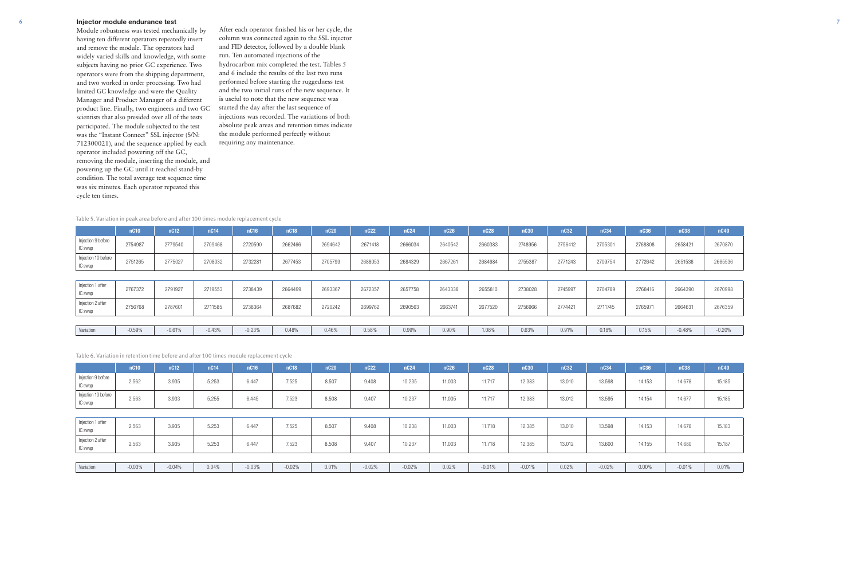## 6 Injector module endurance test

Module robustness was tested mechanically by having ten different operators repeatedly insert and remove the module. The operators had widely varied skills and knowledge, with some subjects having no prior GC experience. Two operators were from the shipping department, and two worked in order processing. Two had limited GC knowledge and were the Quality Manager and Product Manager of a different product line. Finally, two engineers and two GC scientists that also presided over all of the tests participated. The module subjected to the test was the "Instant Connect" SSL injector (S/N: 712300021), and the sequence applied by each operator included powering off the GC, removing the module, inserting the module, and powering up the GC until it reached stand-by condition. The total average test sequence time was six minutes. Each operator repeated this cycle ten times.

After each operator finished his or her cycle, the column was connected again to the SSL injector and FID detector, followed by a double blank run. Ten automated injections of the hydrocarbon mix completed the test. Tables 5 and 6 include the results of the last two runs performed before starting the ruggedness test and the two initial runs of the new sequence. It is useful to note that the new sequence was started the day after the last sequence of injections was recorded. The variations of both absolute peak areas and retention times indicate the module performed perfectly without requiring any maintenance.

|                                | nC10     | nC12     | nC14     | nC16     | nC <sub>18</sub> | nC20    | <b>nC22</b> | <b>nC24</b> | <b>nC26</b> | nC28    | <b>nC30</b> | nC32    | nC34    | nC36    | nC38     | <b>nC40</b> |
|--------------------------------|----------|----------|----------|----------|------------------|---------|-------------|-------------|-------------|---------|-------------|---------|---------|---------|----------|-------------|
| Injection 9 before<br>IC swap  | 2754987  | 2779540  | 2709468  | 2720590  | 2662466          | 2694642 | 2671418     | 2666034     | 2640542     | 2660383 | 2748956     | 2756412 | 2705301 | 2768808 | 2658421  | 2670870     |
| Injection 10 before<br>IC swap | 2751265  | 2775027  | 2708032  | 2732281  | 2677453          | 2705799 | 2688053     | 2684329     | 2667261     | 2684684 | 2755387     | 2771243 | 2709754 | 2772642 | 2651536  | 2665536     |
|                                |          |          |          |          |                  |         |             |             |             |         |             |         |         |         |          |             |
| Injection 1 after<br>IC swap   | 2767372  | 2791927  | 2719553  | 2738439  | 2664499          | 2693367 | 2672357     | 2657758     | 2643338     | 2655810 | 2738028     | 2745997 | 2704789 | 2768416 | 2664390  | 2670998     |
| Injection 2 after<br>IC swap   | 2756768  | 2787601  | 2711585  | 2738364  | 2687682          | 2720242 | 2699762     | 2690563     | 2663741     | 2677520 | 2756966     | 2774421 | 2711745 | 2765971 | 2664631  | 2676359     |
|                                |          |          |          |          |                  |         |             |             |             |         |             |         |         |         |          |             |
| Variation                      | $-0.59%$ | $-0.61%$ | $-0.43%$ | $-0.23%$ | 0.48%            | 0.46%   | 0.58%       | 0.99%       | 0.90%       | 1.08%   | 0.63%       | 0.91%   | 0.18%   | 0.15%   | $-0.48%$ | $-0.20%$    |

## Table 5. Variation in peak area before and after 100 times module replacement cycle

|                                | nC10     | nC12     | nC14  | nC16     | <b>nC18</b> | nC20  | nC22     | nC <sub>24</sub> | nC26   | <b>nC28</b> | nC30     | nC32   | nC34     | nC36     | nC38     | nC40   |
|--------------------------------|----------|----------|-------|----------|-------------|-------|----------|------------------|--------|-------------|----------|--------|----------|----------|----------|--------|
| Injection 9 before<br>IC swap  | 2.562    | 3.935    | 5.253 | 6.447    | 7.525       | 8.507 | 9.408    | 10.235           | 11.003 | 11.717      | 12.383   | 13.010 | 13.598   | 14.153   | 14.678   | 15.185 |
| Injection 10 before<br>IC swap | 2.563    | 3.933    | 5.255 | 6.445    | 7.523       | 8.508 | 9.407    | 10.237           | 11.005 | 11.717      | 12.383   | 13.012 | 13.595   | 14.154   | 14.677   | 15.185 |
|                                |          |          |       |          |             |       |          |                  |        |             |          |        |          |          |          |        |
| Injection 1 after<br>IC swap   | 2.563    | 3.935    | 5.253 | 6.447    | 7.525       | 8.507 | 9.408    | 10.238           | 11.003 | 11.718      | 12.385   | 13.010 | 13.598   | 14.153   | 14.678   | 15.183 |
| Injection 2 after<br>IC swap   | 2.563    | 3.935    | 5.253 | 6.447    | 7.523       | 8.508 | 9.407    | 10.237           | 11.003 | 11.718      | 12.385   | 13.012 | 13.600   | 14.155   | 14.680   | 15.187 |
|                                |          |          |       |          |             |       |          |                  |        |             |          |        |          |          |          |        |
| Variation                      | $-0.03%$ | $-0.04%$ | 0.04% | $-0.03%$ | $-0.02%$    | 0.01% | $-0.02%$ | $-0.02%$         | 0.02%  | $-0.01%$    | $-0.01%$ | 0.02%  | $-0.02%$ | $0.00\%$ | $-0.01%$ | 0.01%  |

Table 6. Variation in retention time before and after 100 times module replacement cycle